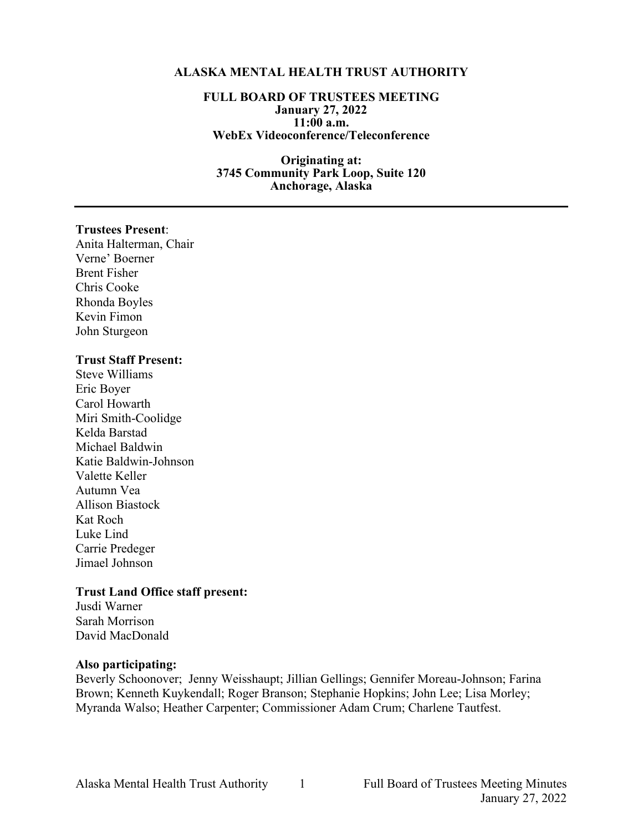### **ALASKA MENTAL HEALTH TRUST AUTHORITY**

#### **FULL BOARD OF TRUSTEES MEETING January 27, 2022 11:00 a.m. WebEx Videoconference/Teleconference**

**Originating at: 3745 Community Park Loop, Suite 120 Anchorage, Alaska**

#### **Trustees Present**:

Anita Halterman, Chair Verne' Boerner Brent Fisher Chris Cooke Rhonda Boyles Kevin Fimon John Sturgeon

### **Trust Staff Present:**

Steve Williams Eric Boyer Carol Howarth Miri Smith-Coolidge Kelda Barstad Michael Baldwin Katie Baldwin-Johnson Valette Keller Autumn Vea Allison Biastock Kat Roch Luke Lind Carrie Predeger Jimael Johnson

### **Trust Land Office staff present:**

Jusdi Warner Sarah Morrison David MacDonald

### **Also participating:**

Beverly Schoonover; Jenny Weisshaupt; Jillian Gellings; Gennifer Moreau-Johnson; Farina Brown; Kenneth Kuykendall; Roger Branson; Stephanie Hopkins; John Lee; Lisa Morley; Myranda Walso; Heather Carpenter; Commissioner Adam Crum; Charlene Tautfest.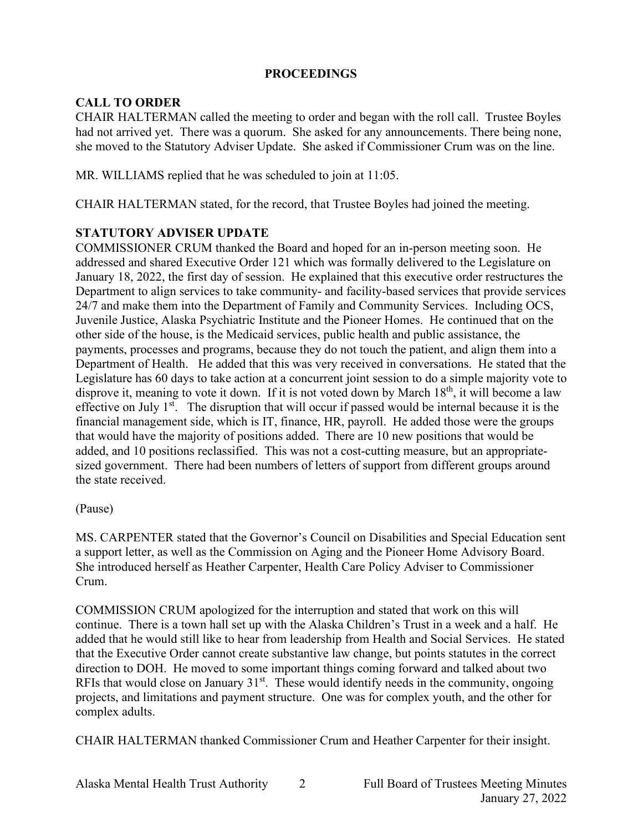## **PROCEEDINGS**

# **CALL TO ORDER**

CHAIR HALTERMAN called the meeting to order and began with the roll call. Trustee Boyles had not arrived yet. There was a quorum. She asked for any announcements. There being none, she moved to the Statutory Adviser Update. She asked if Commissioner Crum was on the line.

MR. WILLIAMS replied that he was scheduled to join at 11:05.

CHAIR HALTERMAN stated, for the record, that Trustee Boyles had joined the meeting.

# **STATUTORY ADVISER UPDATE**

COMMISSIONER CRUM thanked the Board and hoped for an in-person meeting soon. He addressed and shared Executive Order 121 which was formally delivered to the Legislature on January 18, 2022, the first day of session. He explained that this executive order restructures the Department to align services to take community- and facility-based services that provide services 24/7 and make them into the Department of Family and Community Services. Including OCS, Juvenile Justice, Alaska Psychiatric Institute and the Pioneer Homes. He continued that on the other side of the house, is the Medicaid services, public health and public assistance, the payments, processes and programs, because they do not touch the patient, and align them into a Department of Health. He added that this was very received in conversations. He stated that the Legislature has 60 days to take action at a concurrent joint session to do a simple majority vote to disprove it, meaning to vote it down. If it is not voted down by March  $18<sup>th</sup>$ , it will become a law effective on July  $1<sup>st</sup>$ . The disruption that will occur if passed would be internal because it is the financial management side, which is IT, finance, HR, payroll. He added those were the groups that would have the majority of positions added. There are 10 new positions that would be added, and 10 positions reclassified. This was not a cost-cutting measure, but an appropriatesized government. There had been numbers of letters of support from different groups around the state received.

## (Pause)

MS. CARPENTER stated that the Governor's Council on Disabilities and Special Education sent a support letter, as well as the Commission on Aging and the Pioneer Home Advisory Board. She introduced herself as Heather Carpenter, Health Care Policy Adviser to Commissioner Crum.

COMMISSION CRUM apologized for the interruption and stated that work on this will continue. There is a town hall set up with the Alaska Children's Trust in a week and a half. He added that he would still like to hear from leadership from Health and Social Services. He stated that the Executive Order cannot create substantive law change, but points statutes in the correct direction to DOH. He moved to some important things coming forward and talked about two RFIs that would close on January  $31<sup>st</sup>$ . These would identify needs in the community, ongoing projects, and limitations and payment structure. One was for complex youth, and the other for complex adults.

CHAIR HALTERMAN thanked Commissioner Crum and Heather Carpenter for their insight.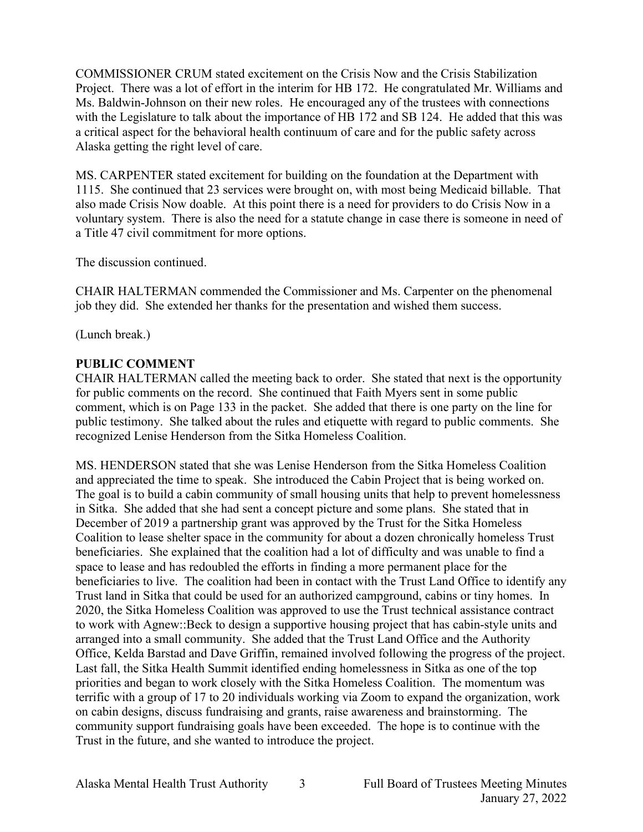COMMISSIONER CRUM stated excitement on the Crisis Now and the Crisis Stabilization Project. There was a lot of effort in the interim for HB 172. He congratulated Mr. Williams and Ms. Baldwin-Johnson on their new roles. He encouraged any of the trustees with connections with the Legislature to talk about the importance of HB 172 and SB 124. He added that this was a critical aspect for the behavioral health continuum of care and for the public safety across Alaska getting the right level of care.

MS. CARPENTER stated excitement for building on the foundation at the Department with 1115. She continued that 23 services were brought on, with most being Medicaid billable. That also made Crisis Now doable. At this point there is a need for providers to do Crisis Now in a voluntary system. There is also the need for a statute change in case there is someone in need of a Title 47 civil commitment for more options.

The discussion continued.

CHAIR HALTERMAN commended the Commissioner and Ms. Carpenter on the phenomenal job they did. She extended her thanks for the presentation and wished them success.

(Lunch break.)

## **PUBLIC COMMENT**

CHAIR HALTERMAN called the meeting back to order. She stated that next is the opportunity for public comments on the record. She continued that Faith Myers sent in some public comment, which is on Page 133 in the packet. She added that there is one party on the line for public testimony. She talked about the rules and etiquette with regard to public comments. She recognized Lenise Henderson from the Sitka Homeless Coalition.

MS. HENDERSON stated that she was Lenise Henderson from the Sitka Homeless Coalition and appreciated the time to speak. She introduced the Cabin Project that is being worked on. The goal is to build a cabin community of small housing units that help to prevent homelessness in Sitka. She added that she had sent a concept picture and some plans. She stated that in December of 2019 a partnership grant was approved by the Trust for the Sitka Homeless Coalition to lease shelter space in the community for about a dozen chronically homeless Trust beneficiaries. She explained that the coalition had a lot of difficulty and was unable to find a space to lease and has redoubled the efforts in finding a more permanent place for the beneficiaries to live. The coalition had been in contact with the Trust Land Office to identify any Trust land in Sitka that could be used for an authorized campground, cabins or tiny homes. In 2020, the Sitka Homeless Coalition was approved to use the Trust technical assistance contract to work with Agnew::Beck to design a supportive housing project that has cabin-style units and arranged into a small community. She added that the Trust Land Office and the Authority Office, Kelda Barstad and Dave Griffin, remained involved following the progress of the project. Last fall, the Sitka Health Summit identified ending homelessness in Sitka as one of the top priorities and began to work closely with the Sitka Homeless Coalition. The momentum was terrific with a group of 17 to 20 individuals working via Zoom to expand the organization, work on cabin designs, discuss fundraising and grants, raise awareness and brainstorming. The community support fundraising goals have been exceeded. The hope is to continue with the Trust in the future, and she wanted to introduce the project.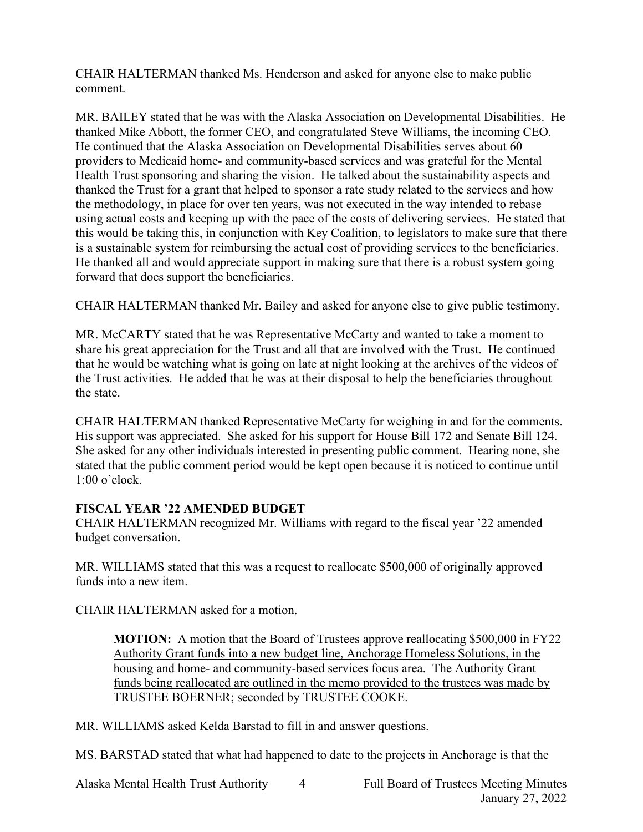CHAIR HALTERMAN thanked Ms. Henderson and asked for anyone else to make public comment.

MR. BAILEY stated that he was with the Alaska Association on Developmental Disabilities. He thanked Mike Abbott, the former CEO, and congratulated Steve Williams, the incoming CEO. He continued that the Alaska Association on Developmental Disabilities serves about 60 providers to Medicaid home- and community-based services and was grateful for the Mental Health Trust sponsoring and sharing the vision. He talked about the sustainability aspects and thanked the Trust for a grant that helped to sponsor a rate study related to the services and how the methodology, in place for over ten years, was not executed in the way intended to rebase using actual costs and keeping up with the pace of the costs of delivering services. He stated that this would be taking this, in conjunction with Key Coalition, to legislators to make sure that there is a sustainable system for reimbursing the actual cost of providing services to the beneficiaries. He thanked all and would appreciate support in making sure that there is a robust system going forward that does support the beneficiaries.

CHAIR HALTERMAN thanked Mr. Bailey and asked for anyone else to give public testimony.

MR. McCARTY stated that he was Representative McCarty and wanted to take a moment to share his great appreciation for the Trust and all that are involved with the Trust. He continued that he would be watching what is going on late at night looking at the archives of the videos of the Trust activities. He added that he was at their disposal to help the beneficiaries throughout the state.

CHAIR HALTERMAN thanked Representative McCarty for weighing in and for the comments. His support was appreciated. She asked for his support for House Bill 172 and Senate Bill 124. She asked for any other individuals interested in presenting public comment. Hearing none, she stated that the public comment period would be kept open because it is noticed to continue until 1:00 o'clock.

# **FISCAL YEAR '22 AMENDED BUDGET**

CHAIR HALTERMAN recognized Mr. Williams with regard to the fiscal year '22 amended budget conversation.

MR. WILLIAMS stated that this was a request to reallocate \$500,000 of originally approved funds into a new item.

CHAIR HALTERMAN asked for a motion.

**MOTION:** A motion that the Board of Trustees approve reallocating \$500,000 in FY22 Authority Grant funds into a new budget line, Anchorage Homeless Solutions, in the housing and home- and community-based services focus area. The Authority Grant funds being reallocated are outlined in the memo provided to the trustees was made by TRUSTEE BOERNER; seconded by TRUSTEE COOKE.

MR. WILLIAMS asked Kelda Barstad to fill in and answer questions.

MS. BARSTAD stated that what had happened to date to the projects in Anchorage is that the

Alaska Mental Health Trust Authority 4 Full Board of Trustees Meeting Minutes January 27, 2022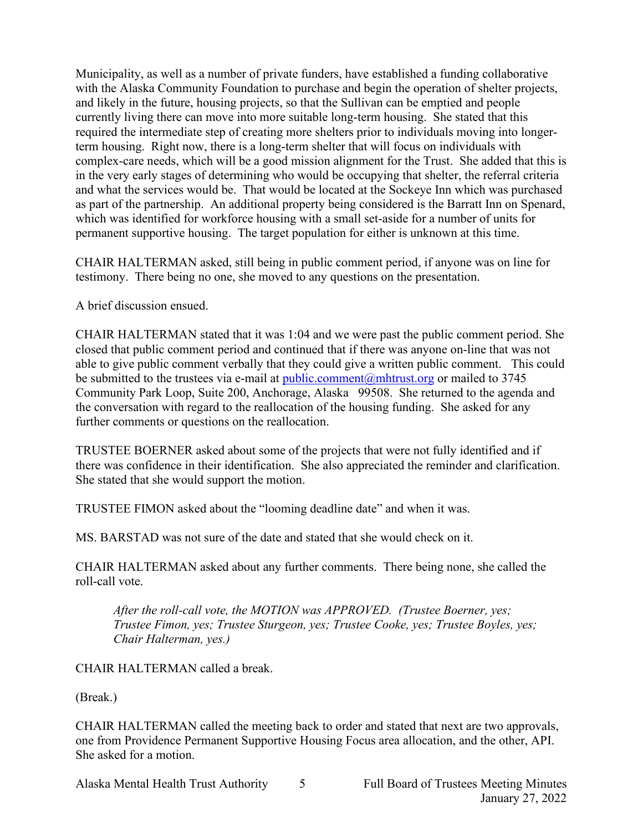Municipality, as well as a number of private funders, have established a funding collaborative with the Alaska Community Foundation to purchase and begin the operation of shelter projects, and likely in the future, housing projects, so that the Sullivan can be emptied and people currently living there can move into more suitable long-term housing. She stated that this required the intermediate step of creating more shelters prior to individuals moving into longerterm housing. Right now, there is a long-term shelter that will focus on individuals with complex-care needs, which will be a good mission alignment for the Trust. She added that this is in the very early stages of determining who would be occupying that shelter, the referral criteria and what the services would be. That would be located at the Sockeye Inn which was purchased as part of the partnership. An additional property being considered is the Barratt Inn on Spenard, which was identified for workforce housing with a small set-aside for a number of units for permanent supportive housing. The target population for either is unknown at this time.

CHAIR HALTERMAN asked, still being in public comment period, if anyone was on line for testimony. There being no one, she moved to any questions on the presentation.

A brief discussion ensued.

CHAIR HALTERMAN stated that it was 1:04 and we were past the public comment period. She closed that public comment period and continued that if there was anyone on-line that was not able to give public comment verbally that they could give a written public comment. This could be submitted to the trustees via e-mail at [public.comment@mhtrust.org](mailto:public.comment@mhtrust.org) or mailed to 3745 Community Park Loop, Suite 200, Anchorage, Alaska 99508. She returned to the agenda and the conversation with regard to the reallocation of the housing funding. She asked for any further comments or questions on the reallocation.

TRUSTEE BOERNER asked about some of the projects that were not fully identified and if there was confidence in their identification. She also appreciated the reminder and clarification. She stated that she would support the motion.

TRUSTEE FIMON asked about the "looming deadline date" and when it was.

MS. BARSTAD was not sure of the date and stated that she would check on it.

CHAIR HALTERMAN asked about any further comments. There being none, she called the roll-call vote.

*After the roll-call vote, the MOTION was APPROVED. (Trustee Boerner, yes; Trustee Fimon, yes; Trustee Sturgeon, yes; Trustee Cooke, yes; Trustee Boyles, yes; Chair Halterman, yes.)*

CHAIR HALTERMAN called a break.

(Break.)

CHAIR HALTERMAN called the meeting back to order and stated that next are two approvals, one from Providence Permanent Supportive Housing Focus area allocation, and the other, API. She asked for a motion.

Alaska Mental Health Trust Authority 5 Full Board of Trustees Meeting Minutes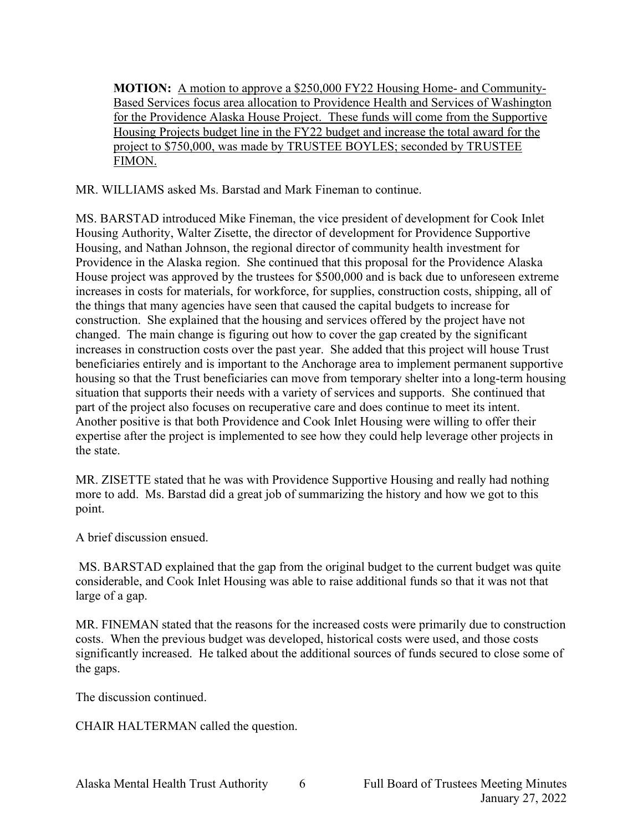**MOTION:** A motion to approve a \$250,000 FY22 Housing Home- and Community-Based Services focus area allocation to Providence Health and Services of Washington for the Providence Alaska House Project. These funds will come from the Supportive Housing Projects budget line in the FY22 budget and increase the total award for the project to \$750,000, was made by TRUSTEE BOYLES; seconded by TRUSTEE FIMON.

MR. WILLIAMS asked Ms. Barstad and Mark Fineman to continue.

MS. BARSTAD introduced Mike Fineman, the vice president of development for Cook Inlet Housing Authority, Walter Zisette, the director of development for Providence Supportive Housing, and Nathan Johnson, the regional director of community health investment for Providence in the Alaska region. She continued that this proposal for the Providence Alaska House project was approved by the trustees for \$500,000 and is back due to unforeseen extreme increases in costs for materials, for workforce, for supplies, construction costs, shipping, all of the things that many agencies have seen that caused the capital budgets to increase for construction. She explained that the housing and services offered by the project have not changed. The main change is figuring out how to cover the gap created by the significant increases in construction costs over the past year. She added that this project will house Trust beneficiaries entirely and is important to the Anchorage area to implement permanent supportive housing so that the Trust beneficiaries can move from temporary shelter into a long-term housing situation that supports their needs with a variety of services and supports. She continued that part of the project also focuses on recuperative care and does continue to meet its intent. Another positive is that both Providence and Cook Inlet Housing were willing to offer their expertise after the project is implemented to see how they could help leverage other projects in the state.

MR. ZISETTE stated that he was with Providence Supportive Housing and really had nothing more to add. Ms. Barstad did a great job of summarizing the history and how we got to this point.

A brief discussion ensued.

MS. BARSTAD explained that the gap from the original budget to the current budget was quite considerable, and Cook Inlet Housing was able to raise additional funds so that it was not that large of a gap.

MR. FINEMAN stated that the reasons for the increased costs were primarily due to construction costs. When the previous budget was developed, historical costs were used, and those costs significantly increased. He talked about the additional sources of funds secured to close some of the gaps.

The discussion continued.

CHAIR HALTERMAN called the question.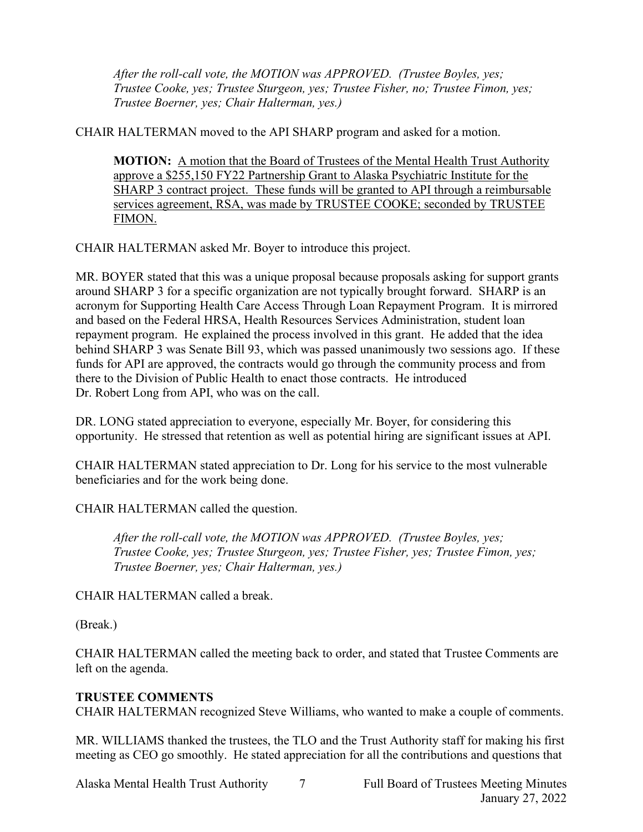*After the roll-call vote, the MOTION was APPROVED. (Trustee Boyles, yes; Trustee Cooke, yes; Trustee Sturgeon, yes; Trustee Fisher, no; Trustee Fimon, yes; Trustee Boerner, yes; Chair Halterman, yes.)*

CHAIR HALTERMAN moved to the API SHARP program and asked for a motion.

**MOTION:** A motion that the Board of Trustees of the Mental Health Trust Authority approve a \$255,150 FY22 Partnership Grant to Alaska Psychiatric Institute for the SHARP 3 contract project. These funds will be granted to API through a reimbursable services agreement, RSA, was made by TRUSTEE COOKE; seconded by TRUSTEE FIMON.

CHAIR HALTERMAN asked Mr. Boyer to introduce this project.

MR. BOYER stated that this was a unique proposal because proposals asking for support grants around SHARP 3 for a specific organization are not typically brought forward. SHARP is an acronym for Supporting Health Care Access Through Loan Repayment Program. It is mirrored and based on the Federal HRSA, Health Resources Services Administration, student loan repayment program. He explained the process involved in this grant. He added that the idea behind SHARP 3 was Senate Bill 93, which was passed unanimously two sessions ago. If these funds for API are approved, the contracts would go through the community process and from there to the Division of Public Health to enact those contracts. He introduced Dr. Robert Long from API, who was on the call.

DR. LONG stated appreciation to everyone, especially Mr. Boyer, for considering this opportunity. He stressed that retention as well as potential hiring are significant issues at API.

CHAIR HALTERMAN stated appreciation to Dr. Long for his service to the most vulnerable beneficiaries and for the work being done.

CHAIR HALTERMAN called the question.

*After the roll-call vote, the MOTION was APPROVED. (Trustee Boyles, yes; Trustee Cooke, yes; Trustee Sturgeon, yes; Trustee Fisher, yes; Trustee Fimon, yes; Trustee Boerner, yes; Chair Halterman, yes.)*

CHAIR HALTERMAN called a break.

(Break.)

CHAIR HALTERMAN called the meeting back to order, and stated that Trustee Comments are left on the agenda.

## **TRUSTEE COMMENTS**

CHAIR HALTERMAN recognized Steve Williams, who wanted to make a couple of comments.

MR. WILLIAMS thanked the trustees, the TLO and the Trust Authority staff for making his first meeting as CEO go smoothly. He stated appreciation for all the contributions and questions that

Alaska Mental Health Trust Authority 7 Full Board of Trustees Meeting Minutes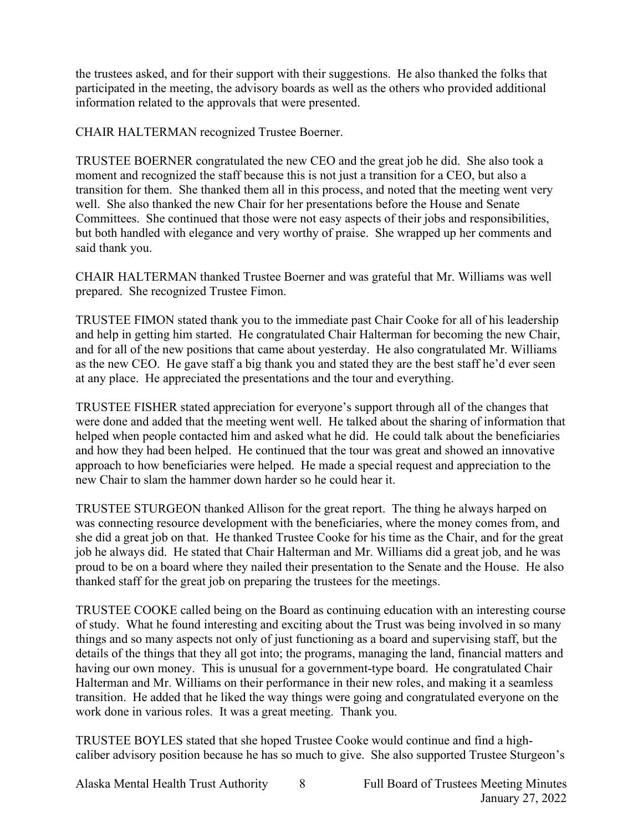the trustees asked, and for their support with their suggestions. He also thanked the folks that participated in the meeting, the advisory boards as well as the others who provided additional information related to the approvals that were presented.

CHAIR HALTERMAN recognized Trustee Boerner.

TRUSTEE BOERNER congratulated the new CEO and the great job he did. She also took a moment and recognized the staff because this is not just a transition for a CEO, but also a transition for them. She thanked them all in this process, and noted that the meeting went very well. She also thanked the new Chair for her presentations before the House and Senate Committees. She continued that those were not easy aspects of their jobs and responsibilities, but both handled with elegance and very worthy of praise. She wrapped up her comments and said thank you.

CHAIR HALTERMAN thanked Trustee Boerner and was grateful that Mr. Williams was well prepared. She recognized Trustee Fimon.

TRUSTEE FIMON stated thank you to the immediate past Chair Cooke for all of his leadership and help in getting him started. He congratulated Chair Halterman for becoming the new Chair, and for all of the new positions that came about yesterday. He also congratulated Mr. Williams as the new CEO. He gave staff a big thank you and stated they are the best staff he'd ever seen at any place. He appreciated the presentations and the tour and everything.

TRUSTEE FISHER stated appreciation for everyone's support through all of the changes that were done and added that the meeting went well. He talked about the sharing of information that helped when people contacted him and asked what he did. He could talk about the beneficiaries and how they had been helped. He continued that the tour was great and showed an innovative approach to how beneficiaries were helped. He made a special request and appreciation to the new Chair to slam the hammer down harder so he could hear it.

TRUSTEE STURGEON thanked Allison for the great report. The thing he always harped on was connecting resource development with the beneficiaries, where the money comes from, and she did a great job on that. He thanked Trustee Cooke for his time as the Chair, and for the great job he always did. He stated that Chair Halterman and Mr. Williams did a great job, and he was proud to be on a board where they nailed their presentation to the Senate and the House. He also thanked staff for the great job on preparing the trustees for the meetings.

TRUSTEE COOKE called being on the Board as continuing education with an interesting course of study. What he found interesting and exciting about the Trust was being involved in so many things and so many aspects not only of just functioning as a board and supervising staff, but the details of the things that they all got into; the programs, managing the land, financial matters and having our own money. This is unusual for a government-type board. He congratulated Chair Halterman and Mr. Williams on their performance in their new roles, and making it a seamless transition. He added that he liked the way things were going and congratulated everyone on the work done in various roles. It was a great meeting. Thank you.

TRUSTEE BOYLES stated that she hoped Trustee Cooke would continue and find a highcaliber advisory position because he has so much to give. She also supported Trustee Sturgeon's

Alaska Mental Health Trust Authority 8 Full Board of Trustees Meeting Minutes